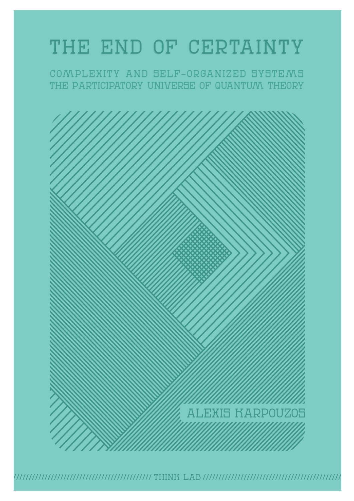# THE END OF CERTAINTY

COMPLEXITY AND SELF-ORGANIZED SYSTEMS THE PARTICIPATORY UNIVERSE OF QUANTUM THEORY

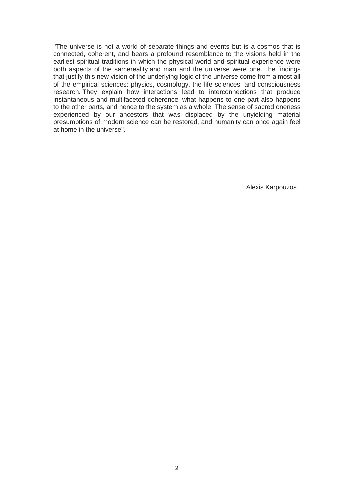''The universe is not a world of separate things and events but is a cosmos that is connected, coherent, and bears a profound resemblance to the visions held in the earliest spiritual traditions in which the physical world and spiritual experience were both aspects of the samereality and man and the universe were one. The findings that justify this new vision of the underlying logic of the universe come from almost all of the empirical sciences: physics, cosmology, the life sciences, and consciousness research. They explain how interactions lead to interconnections that produce instantaneous and multifaceted coherence–what happens to one part also happens to the other parts, and hence to the system as a whole. The sense of sacred oneness experienced by our ancestors that was displaced by the unyielding material presumptions of modern science can be restored, and humanity can once again feel at home in the universe''.

Alexis Karpouzos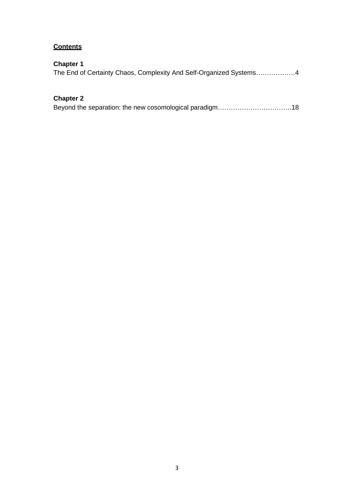# **Contents**

# **Chapter 1** The End of Certainty Chaos, Complexity And Self-Organized Systems………………4

# **Chapter 2**

| Beyond the separation: the new cosomological paradigm18 |
|---------------------------------------------------------|
|---------------------------------------------------------|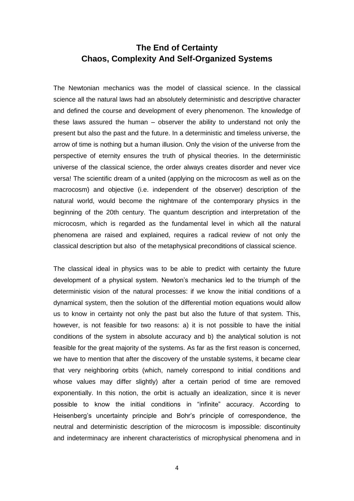# **The End of Certainty Chaos, Complexity And Self-Organized Systems**

The Newtonian mechanics was the model of classical science. In the classical science all the natural laws had an absolutely deterministic and descriptive character and defined the course and development of every phenomenon. The knowledge of these laws assured the human – observer the ability to understand not only the present but also the past and the future. In a deterministic and timeless universe, the arrow of time is nothing but a human illusion. Only the vision of the universe from the perspective of eternity ensures the truth of physical theories. In the deterministic universe of the classical science, the order always creates disorder and never vice versa! The scientific dream of a united (applying on the microcosm as well as on the macrocosm) and objective (i.e. independent of the observer) description of the natural world, would become the nightmare of the contemporary physics in the beginning of the 20th century. The quantum description and interpretation of the microcosm, which is regarded as the fundamental level in which all the natural phenomena are raised and explained, requires a radical review of not only the classical description but also of the metaphysical preconditions of classical science.

The classical ideal in physics was to be able to predict with certainty the future development of a physical system. Newton's mechanics led to the triumph of the deterministic vision of the natural processes: if we know the initial conditions of a dynamical system, then the solution of the differential motion equations would allow us to know in certainty not only the past but also the future of that system. This, however, is not feasible for two reasons: a) it is not possible to have the initial conditions of the system in absolute accuracy and b) the analytical solution is not feasible for the great majority of the systems. As far as the first reason is concerned, we have to mention that after the discovery of the unstable systems, it became clear that very neighboring orbits (which, namely correspond to initial conditions and whose values may differ slightly) after a certain period of time are removed exponentially. In this notion, the orbit is actually an idealization, since it is never possible to know the initial conditions in "infinite" accuracy. According to Heisenberg's uncertainty principle and Bohr's principle of correspondence, the neutral and deterministic description of the microcosm is impossible: discontinuity and indeterminacy are inherent characteristics of microphysical phenomena and in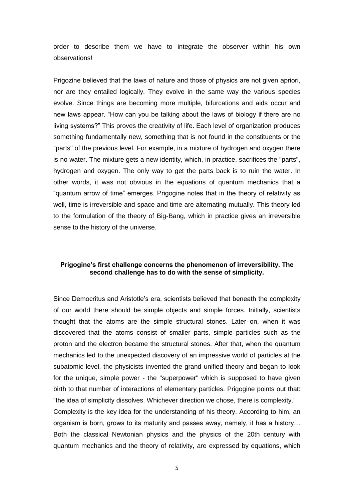order to describe them we have to integrate the observer within his own observations!

Ρrigozine believed that the laws of nature and those of physics are not given apriori, nor are they entailed logically. They evolve in the same way the various species evolve. Since things are becoming more multiple, bifurcations and aids occur and new laws appear. "How can you be talking about the laws of biology if there are no living systems?" This proves the creativity of life. Each level of organization produces something fundamentally new, something that is not found in the constituents or the "parts" of the previous level. For example, in a mixture of hydrogen and oxygen there is no water. The mixture gets a new identity, which, in practice, sacrifices the "parts", hydrogen and oxygen. The only way to get the parts back is to ruin the water. In other words, it was not obvious in the equations of quantum mechanics that a "quantum arrow of time" emerges. Prigogine notes that in the theory of relativity as well, time is irreversible and space and time are alternating mutually. This theory led to the formulation of the theory of Big-Bang, which in practice gives an irreversible sense to the history of the universe.

# **Prigogine's first challenge concerns the phenomenon of irreversibility. The second challenge has to do with the sense of simplicity.**

Since Democritus and Aristotle's era, scientists believed that beneath the complexity of our world there should be simple objects and simple forces. Initially, scientists thought that the atoms are the simple structural stones. Later on, when it was discovered that the atoms consist of smaller parts, simple particles such as the proton and the electron became the structural stones. After that, when the quantum mechanics led to the unexpected discovery of an impressive world of particles at the subatomic level, the physicists invented the grand unified theory and began to look for the unique, simple power - the "superpower" which is supposed to have given birth to that number of interactions of elementary particles. Prigοgine points out that: "the idea of simplicity dissolves. Whichever direction we chose, there is complexity." Complexity is the key idea for the understanding of his theory. According to him, an organism is born, grows to its maturity and passes away, namely, it has a history… Both the classical Newtonian physics and the physics of the 20th century with quantum mechanics and the theory of relativity, are expressed by equations, which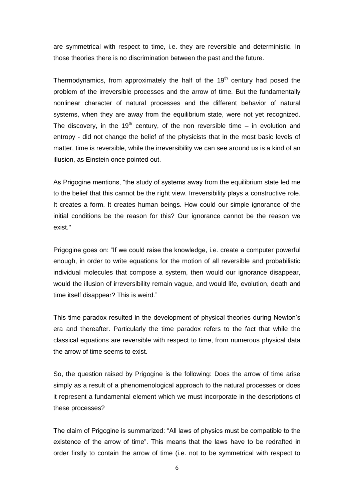are symmetrical with respect to time, i.e. they are reversible and deterministic. In those theories there is no discrimination between the past and the future.

Thermodynamics, from approximately the half of the  $19<sup>th</sup>$  century had posed the problem of the irreversible processes and the arrow of time. But the fundamentally nonlinear character of natural processes and the different behavior of natural systems, when they are away from the equilibrium state, were not yet recognized. The discovery, in the 19<sup>th</sup> century, of the non reversible time – in evolution and entropy - did not change the belief of the physicists that in the most basic levels of matter, time is reversible, while the irreversibility we can see around us is a kind of an illusion, as Einstein once pointed out.

As Prigogine mentions, "the study of systems away from the equilibrium state led me to the belief that this cannot be the right view. Irreversibility plays a constructive role. It creates a form. It creates human beings. How could our simple ignorance of the initial conditions be the reason for this? Our ignorance cannot be the reason we exist."

Prigogine goes on: "If we could raise the knowledge, i.e. create a computer powerful enough, in order to write equations for the motion of all reversible and probabilistic individual molecules that compose a system, then would our ignorance disappear, would the illusion of irreversibility remain vague, and would life, evolution, death and time itself disappear? This is weird."

This time paradox resulted in the development of physical theories during Newton's era and thereafter. Particularly the time paradox refers to the fact that while the classical equations are reversible with respect to time, from numerous physical data the arrow of time seems to exist.

So, the question raised by Prigogine is the following: Does the arrow of time arise simply as a result of a phenomenological approach to the natural processes or does it represent a fundamental element which we must incorporate in the descriptions of these processes?

The claim of Prigogine is summarized: "All laws of physics must be compatible to the existence of the arrow of time". This means that the laws have to be redrafted in order firstly to contain the arrow of time (i.e. not to be symmetrical with respect to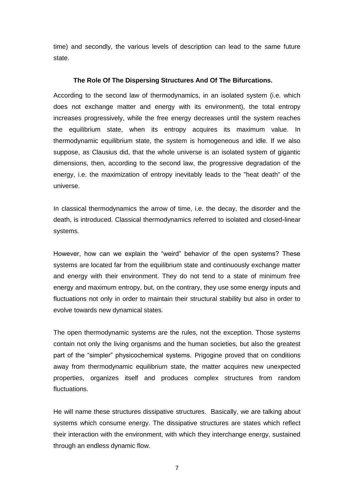time) and secondly, the various levels of description can lead to the same future state.

## **The Role Of The Dispersing Structures And Of The Bifurcations.**

According to the second law of thermodynamics, in an isolated system (i.e. which does not exchange matter and energy with its environment), the total entropy increases progressively, while the free energy decreases until the system reaches the equilibrium state, when its entropy acquires its maximum value. In thermodynamic equilibrium state, the system is homogeneous and idle. If we also suppose, as Clausius did, that the whole universe is an isolated system of gigantic dimensions, then, according to the second law, the progressive degradation of the energy, i.e. the maximization of entropy inevitably leads to the "heat death" of the universe.

In classical thermodynamics the arrow of time, i.e. the decay, the disorder and the death, is introduced. Classical thermodynamics referred to isolated and closed-linear systems.

However, how can we explain the "weird" behavior of the open systems? These systems are located far from the equilibrium state and continuously exchange matter and energy with their environment. They do not tend to a state of minimum free energy and maximum entropy, but, on the contrary, they use some energy inputs and fluctuations not only in order to maintain their structural stability but also in order to evolve towards new dynamical states.

The open thermodynamic systems are the rules, not the exception. Those systems contain not only the living organisms and the human societies, but also the greatest part of the "simpler" physicochemical systems. Prigogine proved that on conditions away from thermodynamic equilibrium state, the matter acquires new unexpected properties, organizes itself and produces complex structures from random fluctuations.

He will name these structures dissipative structures. Basically, we are talking about systems which consume energy. The dissipative structures are states which reflect their interaction with the environment, with which they interchange energy, sustained through an endless dynamic flow.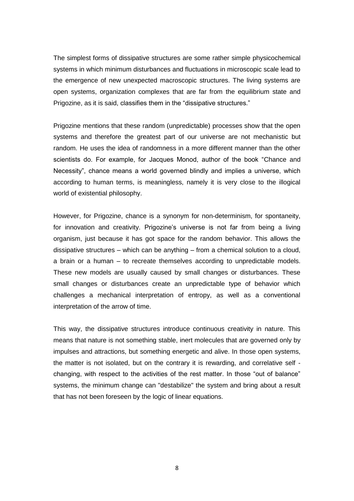The simplest forms of dissipative structures are some rather simple physicochemical systems in which minimum disturbances and fluctuations in microscopic scale lead to the emergence of new unexpected macroscopic structures. The living systems are open systems, organization complexes that are far from the equilibrium state and Prigozine, as it is said, classifies them in the "dissipative structures."

Prigozine mentions that these random (unpredictable) processes show that the open systems and therefore the greatest part of our universe are not mechanistic but random. He uses the idea of randomness in a more different manner than the other scientists do. For example, for Jacques Monod, author of the book "Chance and Necessity", chance means a world governed blindly and implies a universe, which according to human terms, is meaningless, namely it is very close to the illogical world of existential philosophy.

However, for Prigozine, chance is a synonym for non-determinism, for spontaneity, for innovation and creativity. Prigozine's universe is not far from being a living organism, just because it has got space for the random behavior. This allows the dissipative structures – which can be anything – from a chemical solution to a cloud, a brain or a human – to recreate themselves according to unpredictable models. These new models are usually caused by small changes or disturbances. These small changes or disturbances create an unpredictable type of behavior which challenges a mechanical interpretation of entropy, as well as a conventional interpretation of the arrow of time.

This way, the dissipative structures introduce continuous creativity in nature. This means that nature is not something stable, inert molecules that are governed only by impulses and attractions, but something energetic and alive. In those open systems, the matter is not isolated, but on the contrary it is rewarding, and correlative self changing, with respect to the activities of the rest matter. In those "out of balance" systems, the minimum change can "destabilize" the system and bring about a result that has not been foreseen by the logic of linear equations.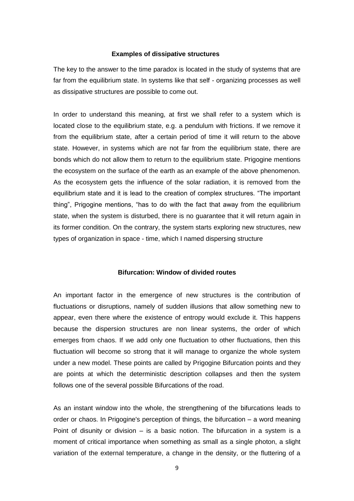#### **Examples of dissipative structures**

The key to the answer to the time paradox is located in the study of systems that are far from the equilibrium state. In systems like that self - organizing processes as well as dissipative structures are possible to come out.

In order to understand this meaning, at first we shall refer to a system which is located close to the equilibrium state, e.g. a pendulum with frictions. If we remove it from the equilibrium state, after a certain period of time it will return to the above state. However, in systems which are not far from the equilibrium state, there are bonds which do not allow them to return to the equilibrium state. Prigοgine mentions the ecosystem on the surface of the earth as an example of the above phenomenon. As the ecosystem gets the influence of the solar radiation, it is removed from the equilibrium state and it is lead to the creation of complex structures. "The important thing", Prigοgine mentions, "has to do with the fact that away from the equilibrium state, when the system is disturbed, there is no guarantee that it will return again in its former condition. On the contrary, the system starts exploring new structures, new types of organization in space - time, which I named dispersing structure

### **Bifurcation: Window of divided routes**

An important factor in the emergence of new structures is the contribution of fluctuations or disruptions, namely of sudden illusions that allow something new to appear, even there where the existence of entropy would exclude it. This happens because the dispersion structures are non linear systems, the order of which emerges from chaos. If we add only one fluctuation to other fluctuations, then this fluctuation will become so strong that it will manage to organize the whole system under a new model. These points are called by Prigogine Bifurcation points and they are points at which the deterministic description collapses and then the system follows one of the several possible Bifurcations of the road.

As an instant window into the whole, the strengthening of the bifurcations leads to order or chaos. In Prigogine's perception of things, the bifurcation – a word meaning Point of disunity or division – is a basic notion. The bifurcation in a system is a moment of critical importance when something as small as a single photon, a slight variation of the external temperature, a change in the density, or the fluttering of a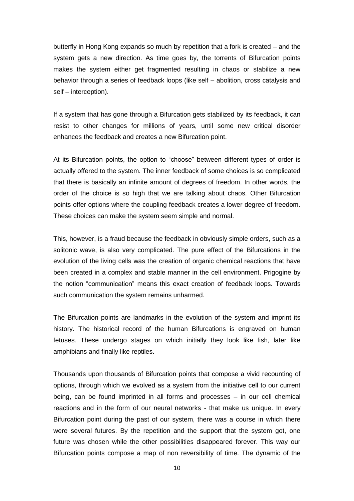butterfly in Hong Kong expands so much by repetition that a fork is created – and the system gets a new direction. As time goes by, the torrents of Bifurcation points makes the system either get fragmented resulting in chaos or stabilize a new behavior through a series of feedback loops (like self – abolition, cross catalysis and self – interception).

If a system that has gone through a Bifurcation gets stabilized by its feedback, it can resist to other changes for millions of years, until some new critical disorder enhances the feedback and creates a new Bifurcation point.

At its Bifurcation points, the option to "choose" between different types of order is actually offered to the system. The inner feedback of some choices is so complicated that there is basically an infinite amount of degrees of freedom. In other words, the order of the choice is so high that we are talking about chaos. Other Bifurcation points offer options where the coupling feedback creates a lower degree of freedom. These choices can make the system seem simple and normal.

This, however, is a fraud because the feedback in obviously simple orders, such as a solitonic wave, is also very complicated. The pure effect of the Bifurcations in the evolution of the living cells was the creation of organic chemical reactions that have been created in a complex and stable manner in the cell environment. Prigogine by the notion "communication" means this exact creation of feedback loops. Towards such communication the system remains unharmed.

The Bifurcation points are landmarks in the evolution of the system and imprint its history. The historical record of the human Bifurcations is engraved on human fetuses. These undergo stages on which initially they look like fish, later like amphibians and finally like reptiles.

Thousands upon thousands of Bifurcation points that compose a vivid recounting of options, through which we evolved as a system from the initiative cell to our current being, can be found imprinted in all forms and processes – in our cell chemical reactions and in the form of our neural networks - that make us unique. In every Bifurcation point during the past of our system, there was a course in which there were several futures. By the repetition and the support that the system got, one future was chosen while the other possibilities disappeared forever. This way our Bifurcation points compose a map of non reversibility of time. The dynamic of the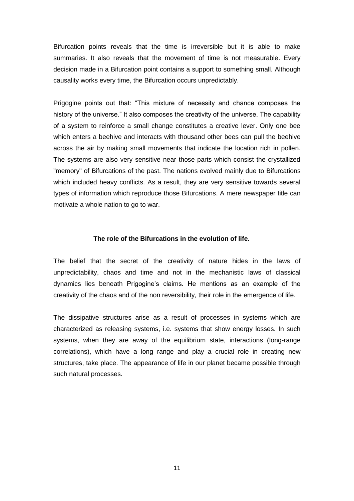Bifurcation points reveals that the time is irreversible but it is able to make summaries. It also reveals that the movement of time is not measurable. Every decision made in a Bifurcation point contains a support to something small. Although causality works every time, the Bifurcation occurs unpredictably.

Prigogine points out that: "This mixture of necessity and chance composes the history of the universe." It also composes the creativity of the universe. The capability of a system to reinforce a small change constitutes a creative lever. Only one bee which enters a beehive and interacts with thousand other bees can pull the beehive across the air by making small movements that indicate the location rich in pollen. The systems are also very sensitive near those parts which consist the crystallized "memory" of Bifurcations of the past. The nations evolved mainly due to Bifurcations which included heavy conflicts. As a result, they are very sensitive towards several types of information which reproduce those Bifurcations. A mere newspaper title can motivate a whole nation to go to war.

#### **The role of the Bifurcations in the evolution of life.**

The belief that the secret of the creativity of nature hides in the laws of unpredictability, chaos and time and not in the mechanistic laws of classical dynamics lies beneath Prigogine's claims. He mentions as an example of the creativity of the chaos and of the non reversibility, their role in the emergence of life.

The dissipative structures arise as a result of processes in systems which are characterized as releasing systems, i.e. systems that show energy losses. In such systems, when they are away of the equilibrium state, interactions (long-range cοrrelatiοns), which have a long range and play a crucial role in creating new structures, take place. The appearance of life in our planet became possible through such natural processes.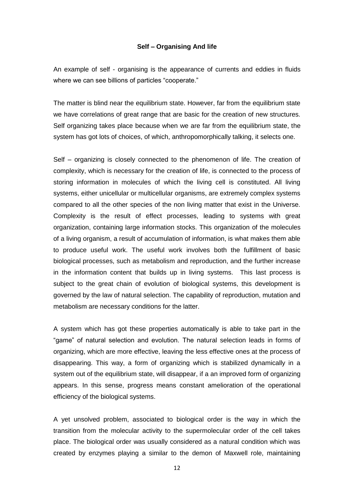#### **Self – Organising And life**

An example of self - organising is the appearance of currents and eddies in fluids where we can see billions of particles "cooperate."

The matter is blind near the equilibrium state. However, far from the equilibrium state we have correlations of great range that are basic for the creation of new structures. Self organizing takes place because when we are far from the equilibrium state, the system has got lots of choices, of which, anthropomorphically talking, it selects one.

Self – organizing is closely connected to the phenomenon of life. The creation of complexity, which is necessary for the creation of life, is connected to the process of storing information in molecules of which the living cell is constituted. All living systems, either unicellular or multicellular organisms, are extremely complex systems compared to all the other species of the non living matter that exist in the Universe. Complexity is the result of effect processes, leading to systems with great organization, containing large information stocks. This organization of the molecules of a living organism, a result of accumulation of information, is what makes them able to produce useful work. The useful work involves both the fulfillment of basic biological processes, such as metabolism and reproduction, and the further increase in the information content that builds up in living systems. This last process is subject to the great chain of evolution of biological systems, this development is governed by the law of natural selection. The capability of reproduction, mutation and metabolism are necessary conditions for the latter.

A system which has got these properties automatically is able to take part in the "game" of natural selection and evolution. The natural selection leads in forms of organizing, which are more effective, leaving the less effective ones at the process of disappearing. This way, a form of organizing which is stabilized dynamically in a system out of the equilibrium state, will disappear, if a an improved form of organizing appears. In this sense, progress means constant amelioration of the operational efficiency of the biological systems.

A yet unsolved problem, associated to biological order is the way in which the transition from the molecular activity to the supermolecular order of the cell takes place. The biological order was usually considered as a natural condition which was created by enzymes playing a similar to the demon of Maxwell role, maintaining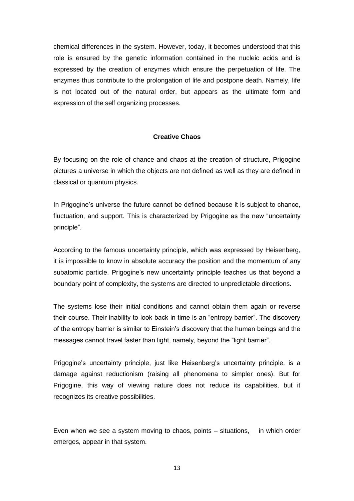chemical differences in the system. However, today, it becomes understood that this role is ensured by the genetic information contained in the nucleic acids and is expressed by the creation of enzymes which ensure the perpetuation of life. The enzymes thus contribute to the prolongation of life and postpone death. Namely, life is not located out of the natural order, but appears as the ultimate form and expression of the self organizing processes.

## **Creative Chaos**

By focusing on the role of chance and chaos at the creation of structure, Prigogine pictures a universe in which the objects are not defined as well as they are defined in classical or quantum physics.

In Prigogine's universe the future cannot be defined because it is subject to chance, fluctuation, and support. This is characterized by Prigogine as the new "uncertainty principle".

According to the famous uncertainty principle, which was expressed by Heisenberg, it is impossible to know in absolute accuracy the position and the momentum of any subatomic particle. Prigogine's new uncertainty principle teaches us that beyond a boundary point of complexity, the systems are directed to unpredictable directions.

The systems lose their initial conditions and cannot obtain them again or reverse their course. Their inability to look back in time is an "entropy barrier". The discovery of the entropy barrier is similar to Einstein's discovery that the human beings and the messages cannot travel faster than light, namely, beyond the "light barrier".

Prigogine's uncertainty principle, just like Heisenberg's uncertainty principle, is a damage against reductionism (raising all phenomena to simpler ones). But for Prigogine, this way of viewing nature does not reduce its capabilities, but it recognizes its creative possibilities.

Even when we see a system moving to chaos, points – situations, in which order emerges, appear in that system.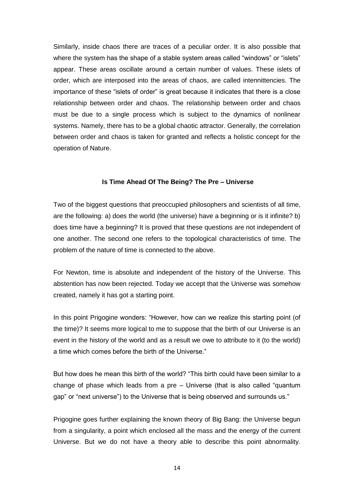Similarly, inside chaos there are traces of a peculiar order. It is also possible that where the system has the shape of a stable system areas called "windows" or "islets" appear. These areas oscillate around a certain number of values. These islets of order, which are interposed into the areas of chaos, are called intennittencies. The importance of these "islets of order" is great because it indicates that there is a close relationship between order and chaos. The relationship between order and chaos must be due to a single process which is subject to the dynamics of nonlinear systems. Namely, there has to be a global chaotic attractor. Generally, the correlation between order and chaos is taken for granted and reflects a holistic concept for the operation of Nature.

## **Is Time Ahead Of The Being? The Pre – Universe**

Two of the biggest questions that preoccupied philosophers and scientists of all time, are the following: a) does the world (the universe) have a beginning or is it infinite? b) does time have a beginning? It is proved that these questions are not independent of one another. The second one refers to the topological characteristics of time. The problem of the nature of time is connected to the above.

For Newton, time is absolute and independent of the history of the Universe. This abstention has now been rejected. Today we accept that the Universe was somehow created, namely it has got a starting point.

In this point Prigogine wonders: "However, how can we realize this starting point (of the time)? It seems more logical to me to suppose that the birth of our Universe is an event in the history of the world and as a result we owe to attribute to it (to the world) a time which comes before the birth of the Universe."

But how does he mean this birth of the world? "This birth could have been similar to a change of phase which leads from a pre – Universe (that is also called "quantum gap" or "next universe") to the Universe that is being observed and surrounds us."

Prigogine goes further explaining the known theory of Big Bang: the Universe begun from a singularity, a point which enclosed all the mass and the energy of the current Universe. But we do not have a theory able to describe this point abnormality.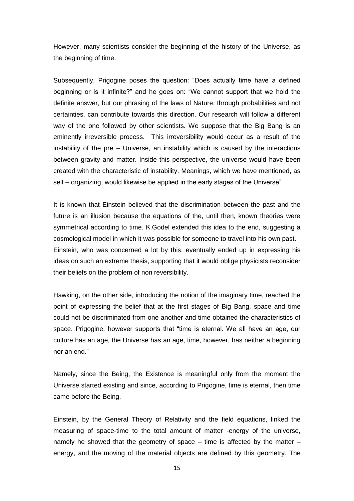However, many scientists consider the beginning of the history of the Universe, as the beginning of time.

Subsequently, Prigogine poses the question: "Does actually time have a defined beginning or is it infinite?" and he goes on: "We cannot support that we hold the definite answer, but our phrasing of the laws of Nature, through probabilities and not certainties, can contribute towards this direction. Our research will follow a different way of the one followed by other scientists. We suppose that the Big Bang is an eminently irreversible process. This irreversibility would occur as a result of the instability of the pre – Universe, an instability which is caused by the interactions between gravity and matter. Inside this perspective, the universe would have been created with the characteristic of instability. Meanings, which we have mentioned, as self – organizing, would likewise be applied in the early stages of the Universe".

It is known that Einstein believed that the discrimination between the past and the future is an illusion because the equations of the, until then, known theories were symmetrical according to time. Κ.Godel extended this idea to the end, suggesting a cosmological model in which it was possible for someone to travel into his own past. Einstein, who was concerned a lot by this, eventually ended up in expressing his ideas on such an extreme thesis, supporting that it would oblige physicists reconsider their beliefs on the problem of non reversibility.

Hawking, on the other side, introducing the notion of the imaginary time, reached the point of expressing the belief that at the first stages of Big Bang, space and time could not be discriminated from one another and time obtained the characteristics of space. Prigogine, however supports that "time is eternal. We all have an age, our culture has an age, the Universe has an age, time, however, has neither a beginning nor an end."

Namely, since the Being, the Existence is meaningful only from the moment the Universe started existing and since, according to Prigogine, time is eternal, then time came before the Being.

Einstein, by the General Theory of Relativity and the field equations, linked the measuring of space-time to the total amount of matter -energy of the universe, namely he showed that the geometry of space – time is affected by the matter – energy, and the moving of the material objects are defined by this geometry. The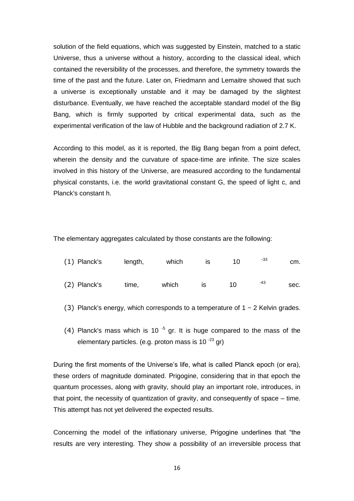solution of the field equations, which was suggested by Einstein, matched to a static Universe, thus a universe without a history, according to the classical ideal, which contained the reversibility of the processes, and therefore, the symmetry towards the time of the past and the future. Later on, Friedmann and Lemaitre showed that such a universe is exceptionally unstable and it may be damaged by the slightest disturbance. Eventually, we have reached the acceptable standard model of the Big Bang, which is firmly supported by critical experimental data, such as the experimental verification of the law of Hubble and the background radiation of 2.7 K.

According to this model, as it is reported, the Big Bang began from a point defect, wherein the density and the curvature of space-time are infinite. The size scales involved in this history of the Universe, are measured according to the fundamental physical constants, i.e. the world gravitational constant G, the speed of light c, and Planck's constant h.

The elementary aggregates calculated by those constants are the following:

| $(1)$ Planck's | length, | which | IS | 10 | -33 | cm.  |
|----------------|---------|-------|----|----|-----|------|
| (2) Planck's   | time,   | which | ıs | 10 | -43 | sec. |

- (3) Planck's energy, which corresponds to a temperature of  $1 \sim 2$  Kelvin grades.
- (4) Planck's mass which is 10 $<sup>-5</sup>$  gr. It is huge compared to the mass of the</sup> elementary particles. (e.g. proton mass is 10 $^{-23}$  gr)

During the first moments of the Universe's life, what is called Planck epoch (or era), these orders of magnitude dominated. Ρrigοgine, considering that in that epoch the quantum processes, along with gravity, should play an important role, introduces, in that point, the necessity of quantization of gravity, and consequently of space – time. This attempt has not yet delivered the expected results.

Concerning the model of the inflationary universe, Prigogine underlines that "the results are very interesting. They show a possibility of an irreversible process that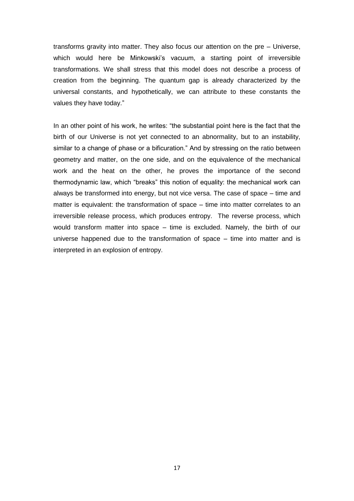transforms gravity into matter. They also focus our attention on the pre – Universe, which would here be Minkowski's vacuum, a starting point of irreversible transformations. We shall stress that this model does not describe a process of creation from the beginning. The quantum gap is already characterized by the universal constants, and hypothetically, we can attribute to these constants the values they have today."

In an other point of his work, he writes: "the substantial point here is the fact that the birth of our Universe is not yet connected to an abnormality, but to an instability, similar to a change of phase or a bificuration." And by stressing on the ratio between geometry and matter, on the one side, and on the equivalence of the mechanical work and the heat on the other, he proves the importance of the second thermodynamic law, which "breaks" this notion of equality: the mechanical work can always be transformed into energy, but not vice versa. The case of space – time and matter is equivalent: the transformation of space – time into matter correlates to an irreversible release process, which produces entropy. The reverse process, which would transform matter into space – time is excluded. Namely, the birth of our universe happened due to the transformation of space – time into matter and is interpreted in an explosion of entropy.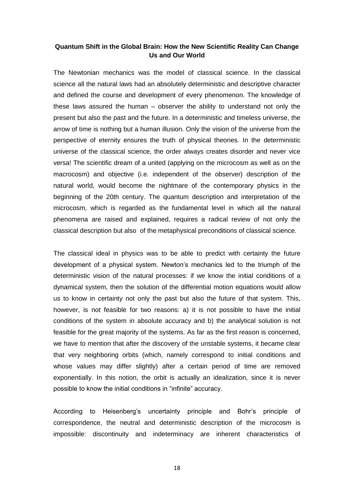# **[Quantum Shift in the Global Brain: How the New](https://translate.googleusercontent.com/translate_c?anno=2&depth=1&hl=el&rurl=translate.google.gr&sl=en&tl=el&u=http://ervinlaszlo.com/index.php/publications/books/85-quantum-shift-in-the-global-brain-how-the-new-scientific-reality-can-change-us-and-our-world&usg=ALkJrhjwVyJ1kdDALXETY36s33K-3VC-1Q) Scientific Reality Can Change [Us and Our World](https://translate.googleusercontent.com/translate_c?anno=2&depth=1&hl=el&rurl=translate.google.gr&sl=en&tl=el&u=http://ervinlaszlo.com/index.php/publications/books/85-quantum-shift-in-the-global-brain-how-the-new-scientific-reality-can-change-us-and-our-world&usg=ALkJrhjwVyJ1kdDALXETY36s33K-3VC-1Q)**

The Newtonian mechanics was the model of classical science. In the classical science all the natural laws had an absolutely deterministic and descriptive character and defined the course and development of every phenomenon. The knowledge of these laws assured the human – observer the ability to understand not only the present but also the past and the future. In a deterministic and timeless universe, the arrow of time is nothing but a human illusion. Only the vision of the universe from the perspective of eternity ensures the truth of physical theories. In the deterministic universe of the classical science, the order always creates disorder and never vice versa! The scientific dream of a united (applying on the microcosm as well as on the macrocosm) and objective (i.e. independent of the observer) description of the natural world, would become the nightmare of the contemporary physics in the beginning of the 20th century. The quantum description and interpretation of the microcosm, which is regarded as the fundamental level in which all the natural phenomena are raised and explained, requires a radical review of not only the classical description but also of the metaphysical preconditions of classical science.

The classical ideal in physics was to be able to predict with certainty the future development of a physical system. Newton's mechanics led to the triumph of the deterministic vision of the natural processes: if we know the initial conditions of a dynamical system, then the solution of the differential motion equations would allow us to know in certainty not only the past but also the future of that system. This, however, is not feasible for two reasons: a) it is not possible to have the initial conditions of the system in absolute accuracy and b) the analytical solution is not feasible for the great majority of the systems. As far as the first reason is concerned, we have to mention that after the discovery of the unstable systems, it became clear that very neighboring orbits (which, namely correspond to initial conditions and whose values may differ slightly) after a certain period of time are removed exponentially. In this notion, the orbit is actually an idealization, since it is never possible to know the initial conditions in "infinite" accuracy.

According to Heisenberg's uncertainty principle and Bohr's principle of correspondence, the neutral and deterministic description of the microcosm is impossible: discontinuity and indeterminacy are inherent characteristics of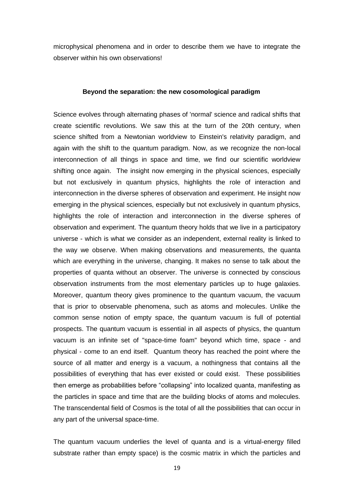microphysical phenomena and in order to describe them we have to integrate the observer within his own observations!

#### **Beyond the separation: the new cosomological paradigm**

Science evolves through alternating phases of 'normal' science and radical shifts that create scientific revolutions. We saw this at the turn of the 20th century, when science shifted from a Newtonian worldview to Einstein's relativity paradigm, and again with the shift to the quantum paradigm. Now, as we recognize the non-local interconnection of all things in space and time, we find our scientific worldview shifting once again. The insight now emerging in the physical sciences, especially but not exclusively in quantum physics, highlights the role of interaction and interconnection in the diverse spheres of observation and experiment. He insight now emerging in the physical sciences, especially but not exclusively in quantum physics, highlights the role of interaction and interconnection in the diverse spheres of observation and experiment. The quantum theory holds that we live in a participatory universe - which is what we consider as an independent, external reality is linked to the way we observe. When making observations and measurements, the quanta which are everything in the universe, changing. It makes no sense to talk about the properties of quanta without an observer. The universe is connected by conscious observation instruments from the most elementary particles up to huge galaxies. Moreover, quantum theory gives prominence to the quantum vacuum, the vacuum that is prior to observable phenomena, such as atoms and molecules. Unlike the common sense notion of empty space, the quantum vacuum is full of potential prospects. The quantum vacuum is essential in all aspects of physics, the quantum vacuum is an infinite set of "space-time foam" beyond which time, space - and physical - come to an end itself. Quantum theory has reached the point where the source of all matter and energy is a vacuum, a nothingness that contains all the possibilities of everything that has ever existed or could exist. These possibilities then emerge as probabilities before "collapsing" into localized quanta, manifesting as the particles in space and time that are the building blocks of atoms and molecules. The transcendental field of Cosmos is the total of all the possibilities that can occur in any part of the universal space-time.

The quantum vacuum underlies the level of quanta and is a virtual-energy filled substrate rather than empty space) is the cosmic matrix in which the particles and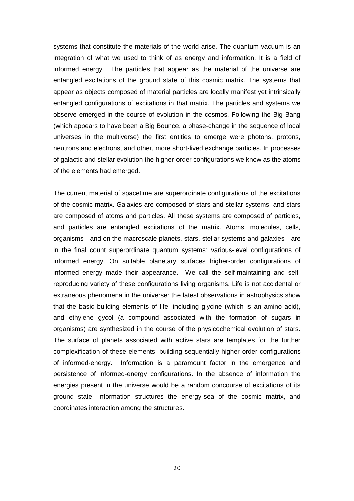systems that constitute the materials of the world arise. The quantum vacuum is an integration of what we used to think of as energy and information. It is a field of informed energy. The particles that appear as the material of the universe are entangled excitations of the ground state of this cosmic matrix. The systems that appear as objects composed of material particles are locally manifest yet intrinsically entangled configurations of excitations in that matrix. The particles and systems we observe emerged in the course of evolution in the cosmos. Following the Big Bang (which appears to have been a Big Bounce, a phase-change in the sequence of local universes in the multiverse) the first entities to emerge were photons, protons, neutrons and electrons, and other, more short-lived exchange particles. In processes of galactic and stellar evolution the higher-order configurations we know as the atoms of the elements had emerged.

The current material of spacetime are superordinate configurations of the excitations of the cosmic matrix. Galaxies are composed of stars and stellar systems, and stars are composed of atoms and particles. All these systems are composed of particles, and particles are entangled excitations of the matrix. Atoms, molecules, cells, organisms—and on the macroscale planets, stars, stellar systems and galaxies—are in the final count superordinate quantum systems: various-level configurations of informed energy. On suitable planetary surfaces higher-order configurations of informed energy made their appearance. We call the self-maintaining and selfreproducing variety of these configurations living organisms. Life is not accidental or extraneous phenomena in the universe: the latest observations in astrophysics show that the basic building elements of life, including glycine (which is an amino acid), and ethylene gycol (a compound associated with the formation of sugars in organisms) are synthesized in the course of the physicochemical evolution of stars. The surface of planets associated with active stars are templates for the further complexification of these elements, building sequentially higher order configurations of informed-energy. Information is a paramount factor in the emergence and persistence of informed-energy configurations. In the absence of information the energies present in the universe would be a random concourse of excitations of its ground state. Information structures the energy-sea of the cosmic matrix, and coordinates interaction among the structures.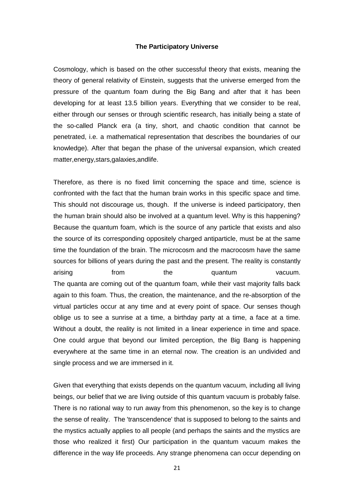#### **The Participatory Universe**

Cosmology, which is based on the other successful theory that exists, meaning the theory of general relativity of Einstein, suggests that the universe emerged from the pressure of the quantum foam during the Big Bang and after that it has been developing for at least 13.5 billion years. Everything that we consider to be real, either through our senses or through scientific research, has initially being a state of the so-called Planck era (a tiny, short, and chaotic condition that cannot be penetrated, i.e. a mathematical representation that describes the boundaries of our knowledge). After that began the phase of the universal expansion, which created matter,energy,stars,galaxies,andlife.

Therefore, as there is no fixed limit concerning the space and time, science is confronted with the fact that the human brain works in this specific space and time. This should not discourage us, though. If the universe is indeed participatory, then the human brain should also be involved at a quantum level. Why is this happening? Because the quantum foam, which is the source of any particle that exists and also the source of its corresponding oppositely charged antiparticle, must be at the same time the foundation of the brain. The microcosm and the macrocosm have the same sources for billions of years during the past and the present. The reality is constantly arising and from the quantum vacuum. The quanta are coming out of the quantum foam, while their vast majority falls back again to this foam. Thus, the creation, the maintenance, and the re-absorption of the virtual particles occur at any time and at every point of space. Our senses though oblige us to see a sunrise at a time, a birthday party at a time, a face at a time. Without a doubt, the reality is not limited in a linear experience in time and space. One could argue that beyond our limited perception, the Big Bang is happening everywhere at the same time in an eternal now. The creation is an undivided and single process and we are immersed in it.

Given that everything that exists depends on the quantum vacuum, including all living beings, our belief that we are living outside of this quantum vacuum is probably false. There is no rational way to run away from this phenomenon, so the key is to change the sense of reality. The 'transcendence' that is supposed to belong to the saints and the mystics actually applies to all people (and perhaps the saints and the mystics are those who realized it first) Our participation in the quantum vacuum makes the difference in the way life proceeds. Any strange phenomena can occur depending on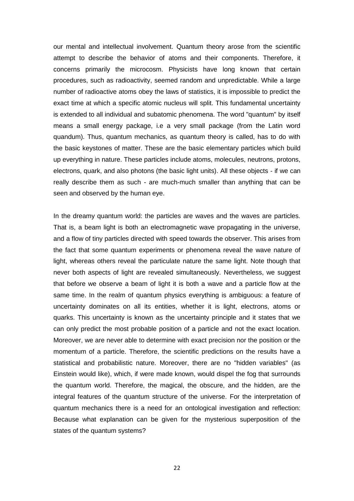our mental and intellectual involvement. Quantum theory arose from the scientific attempt to describe the behavior of atoms and their components. Therefore, it concerns primarily the microcosm. Physicists have long known that certain procedures, such as radioactivity, seemed random and unpredictable. While a large number of radioactive atoms obey the laws of statistics, it is impossible to predict the exact time at which a specific atomic nucleus will split. This fundamental uncertainty is extended to all individual and subatomic phenomena. The word "quantum" by itself means a small energy package, i.e a very small package (from the Latin word quandum). Thus, quantum mechanics, as quantum theory is called, has to do with the basic keystones of matter. These are the basic elementary particles which build up everything in nature. These particles include atoms, molecules, neutrons, protons, electrons, quark, and also photons (the basic light units). All these objects - if we can really describe them as such - are much-much smaller than anything that can be seen and observed by the human eye.

In the dreamy quantum world: the particles are waves and the waves are particles. That is, a beam light is both an electromagnetic wave propagating in the universe, and a flow of tiny particles directed with speed towards the observer. This arises from the fact that some quantum experiments or phenomena reveal the wave nature of light, whereas others reveal the particulate nature the same light. Note though that never both aspects of light are revealed simultaneously. Nevertheless, we suggest that before we observe a beam of light it is both a wave and a particle flow at the same time. In the realm of quantum physics everything is ambiguous: a feature of uncertainty dominates on all its entities, whether it is light, electrons, atoms or quarks. This uncertainty is known as the uncertainty principle and it states that we can only predict the most probable position of a particle and not the exact location. Moreover, we are never able to determine with exact precision nor the position or the momentum of a particle. Therefore, the scientific predictions on the results have a statistical and probabilistic nature. Moreover, there are no "hidden variables" (as Einstein would like), which, if were made known, would dispel the fog that surrounds the quantum world. Therefore, the magical, the obscure, and the hidden, are the integral features of the quantum structure of the universe. For the interpretation of quantum mechanics there is a need for an ontological investigation and reflection: Because what explanation can be given for the mysterious superposition of the states of the quantum systems?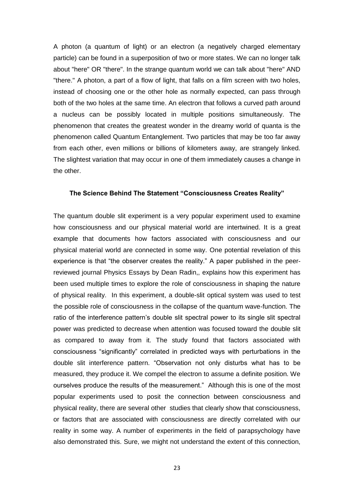A photon (a quantum of light) or an electron (a negatively charged elementary particle) can be found in a superposition of two or more states. We can no longer talk about "here" OR "there". In the strange quantum world we can talk about "here" AND "there." A photon, a part of a flow of light, that falls on a film screen with two holes, instead of choosing one or the other hole as normally expected, can pass through both of the two holes at the same time. An electron that follows a curved path around a nucleus can be possibly located in multiple positions simultaneously. The phenomenon that creates the greatest wonder in the dreamy world of quanta is the phenomenon called Quantum Entanglement. Two particles that may be too far away from each other, even millions or billions of kilometers away, are strangely linked. The slightest variation that may occur in one of them immediately causes a change in the other.

## **The Science Behind The Statement "Consciousness Creates Reality"**

The quantum double slit experiment is a very popular experiment used to examine how consciousness and our physical material world are intertwined. It is a great example that documents how factors associated with consciousness and our physical material world are connected in some way. One potential revelation of this experience is that "the observer creates the reality." A paper published in the peerreviewed journal Physics Essays by Dean Radin,, explains how this experiment has been used multiple times to explore the role of consciousness in shaping the nature of physical reality. In this experiment, a double-slit optical system was used to test the possible role of consciousness in the collapse of the quantum wave-function. The ratio of the interference pattern's double slit spectral power to its single slit spectral power was predicted to decrease when attention was focused toward the double slit as compared to away from it. The study found that factors associated with consciousness "significantly" correlated in predicted ways with perturbations in the double slit interference pattern. "Observation not only disturbs what has to be measured, they produce it. We compel the electron to assume a definite position. We ourselves produce the results of the measurement." Although this is one of the most popular experiments used to posit the connection between consciousness and physical reality, there are several other studies that clearly show that consciousness, or factors that are associated with consciousness are directly correlated with our reality in some way. A number of experiments in the field of parapsychology have also demonstrated this. Sure, we might not understand the extent of this connection,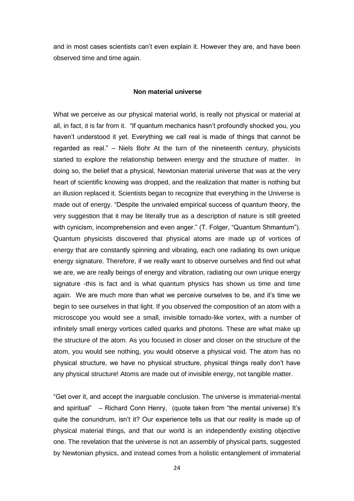and in most cases scientists can't even explain it. However they are, and have been observed time and time again.

#### **Non material universe**

What we perceive as our physical material world, is really not physical or material at all, in fact, it is far from it. "If quantum mechanics hasn't profoundly shocked you, you haven't understood it yet. Everything we call real is made of things that cannot be regarded as real." – Niels Bohr At the turn of the nineteenth century, physicists started to explore the relationship between energy and the structure of matter. In doing so, the belief that a physical, Newtonian material universe that was at the very heart of scientific knowing was dropped, and the realization that matter is nothing but an illusion replaced it. Scientists began to recognize that everything in the Universe is made out of energy. "Despite the unrivaled empirical success of quantum theory, the very suggestion that it may be literally true as a description of nature is still greeted with cynicism, incomprehension and even anger." (T. Folger, "Quantum Shmantum"). Quantum physicists discovered that physical atoms are made up of vortices of energy that are constantly spinning and vibrating, each one radiating its own unique energy signature. Therefore, if we really want to observe ourselves and find out what we are, we are really beings of energy and vibration, radiating our own unique energy signature -this is fact and is what quantum physics has shown us time and time again. We are much more than what we perceive ourselves to be, and it's time we begin to see ourselves in that light. If you observed the composition of an atom with a microscope you would see a small, invisible tornado-like vortex, with a number of infinitely small energy vortices called quarks and photons. These are what make up the structure of the atom. As you focused in closer and closer on the structure of the atom, you would see nothing, you would observe a physical void. The atom has no physical structure, we have no physical structure, physical things really don't have any physical structure! Atoms are made out of invisible energy, not tangible matter.

"Get over it, and accept the inarguable conclusion. The universe is immaterial-mental and spiritual" – Richard Conn Henry, (quote taken from "the mental universe) It's quite the conundrum, isn't it? Our experience tells us that our reality is made up of physical material things, and that our world is an independently existing objective one. The revelation that the universe is not an assembly of physical parts, suggested by Newtonian physics, and instead comes from a holistic entanglement of immaterial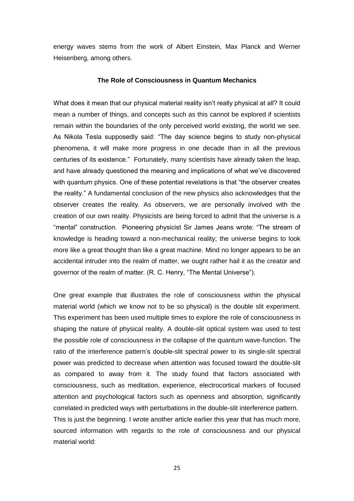energy waves stems from the work of Albert Einstein, Max Planck and Werner Heisenberg, among others.

#### **The Role of Consciousness in Quantum Mechanics**

What does it mean that our physical material reality isn't really physical at all? It could mean a number of things, and concepts such as this cannot be explored if scientists remain within the boundaries of the only perceived world existing, the world we see. As Nikola Tesla supposedly said: "The day science begins to study non-physical phenomena, it will make more progress in one decade than in all the previous centuries of its existence." Fortunately, many scientists have already taken the leap, and have already questioned the meaning and implications of what we've discovered with quantum physics. One of these potential revelations is that "the observer creates the reality." A fundamental conclusion of the new physics also acknowledges that the observer creates the reality. As observers, we are personally involved with the creation of our own reality. Physicists are being forced to admit that the universe is a "mental" construction. Pioneering physicist Sir James Jeans wrote: "The stream of knowledge is heading toward a non-mechanical reality; the universe begins to look more like a great thought than like a great machine. Mind no longer appears to be an accidental intruder into the realm of matter, we ought rather hail it as the creator and governor of the realm of matter. (R. C. Henry, "The Mental Universe").

One great example that illustrates the role of consciousness within the physical material world (which we know not to be so physical) is the double slit experiment. This experiment has been used multiple times to explore the role of consciousness in shaping the nature of physical reality. A double-slit optical system was used to test the possible role of consciousness in the collapse of the quantum wave-function. The ratio of the interference pattern's double-slit spectral power to its single-slit spectral power was predicted to decrease when attention was focused toward the double-slit as compared to away from it. The study found that factors associated with consciousness, such as meditation, experience, electrocortical markers of focused attention and psychological factors such as openness and absorption, significantly correlated in predicted ways with perturbations in the double-slit interference pattern. This is just the beginning. I wrote another article earlier this year that has much more, sourced information with regards to the role of consciousness and our physical material world: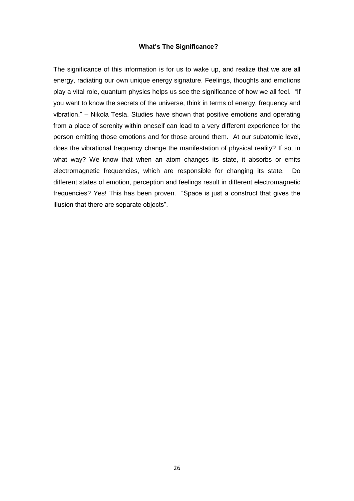# **What's The Significance?**

The significance of this information is for us to wake up, and realize that we are all energy, radiating our own unique energy signature. Feelings, thoughts and emotions play a vital role, quantum physics helps us see the significance of how we all feel. "If you want to know the secrets of the universe, think in terms of energy, frequency and vibration." – Nikola Tesla. Studies have shown that positive emotions and operating from a place of serenity within oneself can lead to a very different experience for the person emitting those emotions and for those around them. At our subatomic level, does the vibrational frequency change the manifestation of physical reality? If so, in what way? We know that when an atom changes its state, it absorbs or emits electromagnetic frequencies, which are responsible for changing its state. Do different states of emotion, perception and feelings result in different electromagnetic frequencies? Yes! This has been proven. "Space is just a construct that gives the illusion that there are separate objects".